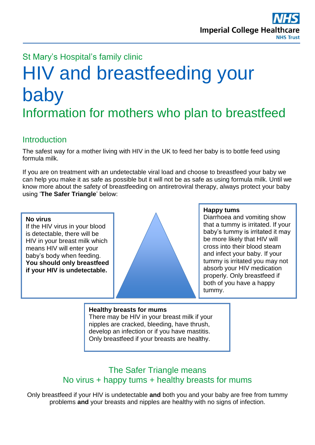

# St Mary's Hospital's family clinic HIV and breastfeeding your baby Information for mothers who plan to breastfeed

# **Introduction**

The safest way for a mother living with HIV in the UK to feed her baby is to bottle feed using formula milk.

If you are on treatment with an undetectable viral load and choose to breastfeed your baby we can help you make it as safe as possible but it will not be as safe as using formula milk. Until we know more about the safety of breastfeeding on antiretroviral therapy, always protect your baby using '**The Safer Triangle**' below:

### **No virus**

If the HIV virus in your blood is detectable, there will be HIV in your breast milk which means HIV will enter your baby's body when feeding. **You should only breastfeed if your HIV is undetectable.**



#### **Happy tums**

Diarrhoea and vomiting show that a tummy is irritated. If your baby's tummy is irritated it may be more likely that HIV will cross into their blood steam and infect your baby. If your tummy is irritated you may not absorb your HIV medication properly. Only breastfeed if both of you have a happy tummy.

### **Healthy breasts for mums**

There may be HIV in your breast milk if your nipples are cracked, bleeding, have thrush, develop an infection or if you have mastitis. Only breastfeed if your breasts are healthy.

# The Safer Triangle means No virus + happy tums + healthy breasts for mums

Only breastfeed if your HIV is undetectable **and** both you and your baby are free from tummy problems **and** your breasts and nipples are healthy with no signs of infection.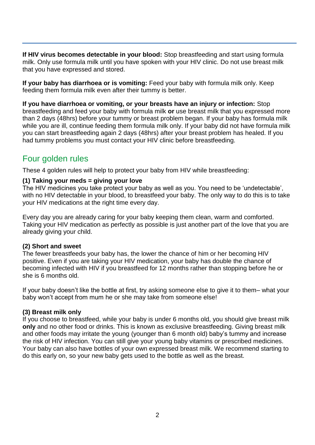**If HIV virus becomes detectable in your blood:** Stop breastfeeding and start using formula milk. Only use formula milk until you have spoken with your HIV clinic. Do not use breast milk that you have expressed and stored.

**If your baby has diarrhoea or is vomiting:** Feed your baby with formula milk only. Keep feeding them formula milk even after their tummy is better.

**If you have diarrhoea or vomiting, or your breasts have an injury or infection:** Stop breastfeeding and feed your baby with formula milk **or** use breast milk that you expressed more than 2 days (48hrs) before your tummy or breast problem began. If your baby has formula milk while you are ill, continue feeding them formula milk only. If your baby did not have formula milk you can start breastfeeding again 2 days (48hrs) after your breast problem has healed. If you had tummy problems you must contact your HIV clinic before breastfeeding.

### Four golden rules

These 4 golden rules will help to protect your baby from HIV while breastfeeding:

#### **(1) Taking your meds = giving your love**

The HIV medicines you take protect your baby as well as you. You need to be 'undetectable', with no HIV detectable in your blood, to breastfeed your baby. The only way to do this is to take your HIV medications at the right time every day.

Every day you are already caring for your baby keeping them clean, warm and comforted. Taking your HIV medication as perfectly as possible is just another part of the love that you are already giving your child.

#### **(2) Short and sweet**

The fewer breastfeeds your baby has, the lower the chance of him or her becoming HIV positive. Even if you are taking your HIV medication, your baby has double the chance of becoming infected with HIV if you breastfeed for 12 months rather than stopping before he or she is 6 months old.

If your baby doesn't like the bottle at first, try asking someone else to give it to them– what your baby won't accept from mum he or she may take from someone else!

#### **(3) Breast milk only**

If you choose to breastfeed, while your baby is under 6 months old, you should give breast milk **only** and no other food or drinks. This is known as exclusive breastfeeding. Giving breast milk and other foods may irritate the young (younger than 6 month old) baby's tummy and increase the risk of HIV infection. You can still give your young baby vitamins or prescribed medicines. Your baby can also have bottles of your own expressed breast milk. We recommend starting to do this early on, so your new baby gets used to the bottle as well as the breast.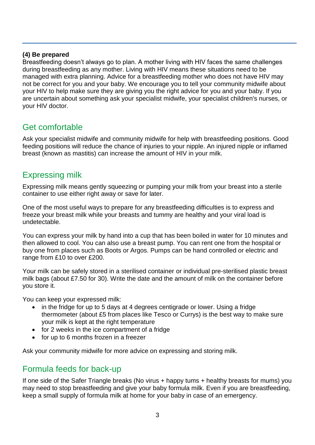### **(4) Be prepared**

Breastfeeding doesn't always go to plan. A mother living with HIV faces the same challenges during breastfeeding as any mother. Living with HIV means these situations need to be managed with extra planning. Advice for a breastfeeding mother who does not have HIV may not be correct for you and your baby. We encourage you to tell your community midwife about your HIV to help make sure they are giving you the right advice for you and your baby. If you are uncertain about something ask your specialist midwife, your specialist children's nurses, or your HIV doctor.

# Get comfortable

Ask your specialist midwife and community midwife for help with breastfeeding positions. Good feeding positions will reduce the chance of injuries to your nipple. An injured nipple or inflamed breast (known as mastitis) can increase the amount of HIV in your milk.

# Expressing milk

Expressing milk means gently squeezing or pumping your milk from your breast into a sterile container to use either right away or save for later.

One of the most useful ways to prepare for any breastfeeding difficulties is to express and freeze your breast milk while your breasts and tummy are healthy and your viral load is undetectable.

You can express your milk by hand into a cup that has been boiled in water for 10 minutes and then allowed to cool. You can also use a breast pump. You can rent one from the hospital or buy one from places such as Boots or Argos. Pumps can be hand controlled or electric and range from £10 to over £200.

Your milk can be safely stored in a sterilised container or individual pre-sterilised plastic breast milk bags (about £7.50 for 30)*.* Write the date and the amount of milk on the container before you store it.

You can keep your expressed milk:

- in the fridge for up to 5 days at 4 degrees centigrade or lower. Using a fridge thermometer (about £5 from places like Tesco or Currys) is the best way to make sure your milk is kept at the right temperature
- for 2 weeks in the ice compartment of a fridge
- for up to 6 months frozen in a freezer

Ask your community midwife for more advice on expressing and storing milk.

### Formula feeds for back-up

If one side of the Safer Triangle breaks (No virus + happy tums + healthy breasts for mums) you may need to stop breastfeeding and give your baby formula milk. Even if you are breastfeeding, keep a small supply of formula milk at home for your baby in case of an emergency.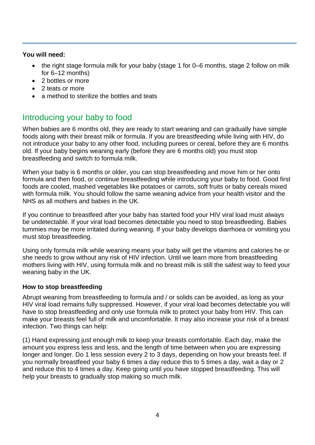### **You will need:**

- the right stage formula milk for your baby (stage 1 for 0–6 months, stage 2 follow on milk for 6–12 months)
- 2 bottles or more
- 2 teats or more
- a method to sterilize the bottles and teats

# Introducing your baby to food

When babies are 6 months old, they are ready to start weaning and can gradually have simple foods along with their breast milk or formula. If you are breastfeeding while living with HIV, do not introduce your baby to any other food, including purees or cereal, before they are 6 months old. If your baby begins weaning early (before they are 6 months old) you must stop breastfeeding and switch to formula milk.

When your baby is 6 months or older, you can stop breastfeeding and move him or her onto formula and then food, or continue breastfeeding while introducing your baby to food. Good first foods are cooled, mashed vegetables like potatoes or carrots, soft fruits or baby cereals mixed with formula milk. You should follow the same weaning advice from your health visitor and the NHS as all mothers and babies in the UK.

If you continue to breastfeed after your baby has started food your HIV viral load must always be undetectable. If your viral load becomes detectable you need to stop breastfeeding. Babies tummies may be more irritated during weaning. If your baby develops diarrhoea or vomiting you must stop breastfeeding.

Using only formula milk while weaning means your baby will get the vitamins and calories he or she needs to grow without any risk of HIV infection. Until we learn more from breastfeeding mothers living with HIV, using formula milk and no breast milk is still the safest way to feed your weaning baby in the UK.

### **How to stop breastfeeding**

Abrupt weaning from breastfeeding to formula and / or solids can be avoided, as long as your HIV viral load remains fully suppressed. However, if your viral load becomes detectable you will have to stop breastfeeding and only use formula milk to protect your baby from HIV. This can make your breasts feel full of milk and uncomfortable. It may also increase your risk of a breast infection. Two things can help:

(1) Hand expressing just enough milk to keep your breasts comfortable. Each day, make the amount you express less and less, and the length of time between when you are expressing longer and longer. Do 1 less session every 2 to 3 days, depending on how your breasts feel. If you normally breastfeed your baby 6 times a day reduce this to 5 times a day, wait a day or 2 and reduce this to 4 times a day. Keep going until you have stopped breastfeeding. This will help your breasts to gradually stop making so much milk.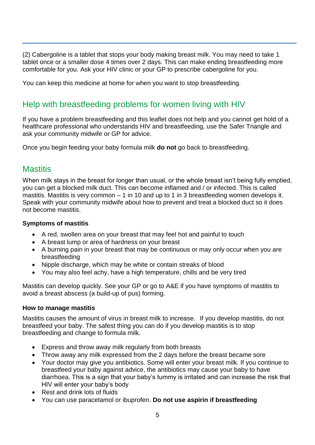(2) Cabergoline is a tablet that stops your body making breast milk. You may need to take 1 tablet once or a smaller dose 4 times over 2 days. This can make ending breastfeeding more comfortable for you. Ask your HIV clinic or your GP to prescribe cabergoline for you.

You can keep this medicine at home for when you want to stop breastfeeding.

# Help with breastfeeding problems for women living with HIV

If you have a problem breastfeeding and this leaflet does not help and you cannot get hold of a healthcare professional who understands HIV and breastfeeding, use the Safer Triangle and ask your community midwife or GP for advice.

Once you begin feeding your baby formula milk **do not** go back to breastfeeding.

### **Mastitis**

When milk stays in the breast for longer than usual, or the whole breast isn't being fully emptied, you can get a blocked milk duct. This can become inflamed and / or infected. This is called mastitis. Mastitis is very common – 1 in 10 and up to 1 in 3 breastfeeding women develops it. Speak with your community midwife about how to prevent and treat a blocked duct so it does not become mastitis.

### **Symptoms of mastitis**

- A red, swollen area on your breast that may feel hot and painful to touch
- A breast lump or area of hardness on your breast
- A burning pain in your breast that may be continuous or may only occur when you are breastfeeding
- Nipple discharge, which may be white or contain streaks of blood
- You may also feel achy, have a high temperature, chills and be very tired

Mastitis can develop quickly. See your GP or go to A&E if you have symptoms of mastitis to avoid a breast abscess (a build-up of pus) forming.

### **How to manage mastitis**

Mastitis causes the amount of virus in breast milk to increase. If you develop mastitis, do not breastfeed your baby. The safest thing you can do if you develop mastitis is to stop breastfeeding and change to formula milk.

- Express and throw away milk regularly from both breasts
- Throw away any milk expressed from the 2 days before the breast became sore
- Your doctor may give you antibiotics. Some will enter your breast milk. If you continue to breastfeed your baby against advice, the antibiotics may cause your baby to have diarrhoea. This is a sign that your baby's tummy is irritated and can increase the risk that HIV will enter your baby's body
- Rest and drink lots of fluids
- You can use paracetamol or ibuprofen. **Do not use aspirin if breastfeeding**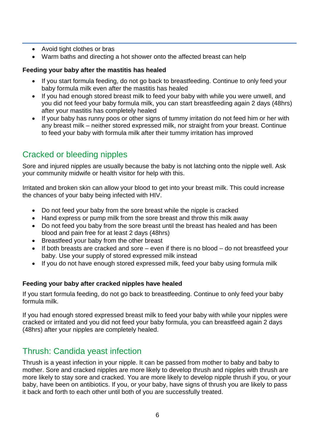- Avoid tight clothes or bras
- Warm baths and directing a hot shower onto the affected breast can help

#### **Feeding your baby after the mastitis has healed**

- If you start formula feeding, do not go back to breastfeeding. Continue to only feed your baby formula milk even after the mastitis has healed
- If you had enough stored breast milk to feed your baby with while you were unwell, and you did not feed your baby formula milk, you can start breastfeeding again 2 days (48hrs) after your mastitis has completely healed
- If your baby has runny poos or other signs of tummy irritation do not feed him or her with any breast milk – neither stored expressed milk, nor straight from your breast. Continue to feed your baby with formula milk after their tummy irritation has improved

# Cracked or bleeding nipples

Sore and injured nipples are usually because the baby is not latching onto the nipple well. Ask your community midwife or health visitor for help with this.

Irritated and broken skin can allow your blood to get into your breast milk. This could increase the chances of your baby being infected with HIV.

- Do not feed your baby from the sore breast while the nipple is cracked
- Hand express or pump milk from the sore breast and throw this milk away
- Do not feed you baby from the sore breast until the breast has healed and has been blood and pain free for at least 2 days (48hrs)
- Breastfeed your baby from the other breast
- If both breasts are cracked and sore even if there is no blood do not breastfeed your baby. Use your supply of stored expressed milk instead
- If you do not have enough stored expressed milk, feed your baby using formula milk

### **Feeding your baby after cracked nipples have healed**

If you start formula feeding, do not go back to breastfeeding. Continue to only feed your baby formula milk.

If you had enough stored expressed breast milk to feed your baby with while your nipples were cracked or irritated and you did not feed your baby formula, you can breastfeed again 2 days (48hrs) after your nipples are completely healed.

### Thrush: Candida yeast infection

Thrush is a yeast infection in your nipple. It can be passed from mother to baby and baby to mother. Sore and cracked nipples are more likely to develop thrush and nipples with thrush are more likely to stay sore and cracked. You are more likely to develop nipple thrush if you, or your baby, have been on antibiotics. If you, or your baby, have signs of thrush you are likely to pass it back and forth to each other until both of you are successfully treated.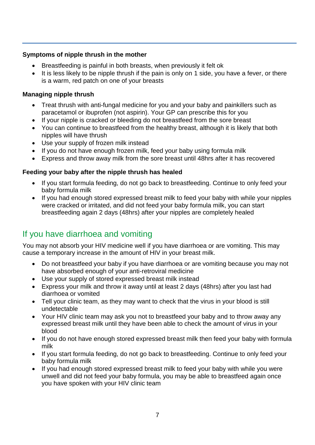### **Symptoms of nipple thrush in the mother**

- Breastfeeding is painful in both breasts, when previously it felt ok
- It is less likely to be nipple thrush if the pain is only on 1 side, you have a fever, or there is a warm, red patch on one of your breasts

### **Managing nipple thrush**

- Treat thrush with anti-fungal medicine for you and your baby and painkillers such as paracetamol or ibuprofen (not aspirin). Your GP can prescribe this for you
- If your nipple is cracked or bleeding do not breastfeed from the sore breast
- You can continue to breastfeed from the healthy breast, although it is likely that both nipples will have thrush
- Use your supply of frozen milk instead
- If you do not have enough frozen milk, feed your baby using formula milk
- Express and throw away milk from the sore breast until 48hrs after it has recovered

### **Feeding your baby after the nipple thrush has healed**

- If you start formula feeding, do not go back to breastfeeding. Continue to only feed your baby formula milk
- If you had enough stored expressed breast milk to feed your baby with while your nipples were cracked or irritated, and did not feed your baby formula milk, you can start breastfeeding again 2 days (48hrs) after your nipples are completely healed

# If you have diarrhoea and vomiting

You may not absorb your HIV medicine well if you have diarrhoea or are vomiting. This may cause a temporary increase in the amount of HIV in your breast milk.

- Do not breastfeed your baby if you have diarrhoea or are vomiting because you may not have absorbed enough of your anti-retroviral medicine
- Use your supply of stored expressed breast milk instead
- Express your milk and throw it away until at least 2 days (48hrs) after you last had diarrhoea or vomited
- Tell your clinic team, as they may want to check that the virus in your blood is still undetectable
- Your HIV clinic team may ask you not to breastfeed your baby and to throw away any expressed breast milk until they have been able to check the amount of virus in your blood
- If you do not have enough stored expressed breast milk then feed your baby with formula milk
- If you start formula feeding, do not go back to breastfeeding. Continue to only feed your baby formula milk
- If you had enough stored expressed breast milk to feed your baby with while you were unwell and did not feed your baby formula, you may be able to breastfeed again once you have spoken with your HIV clinic team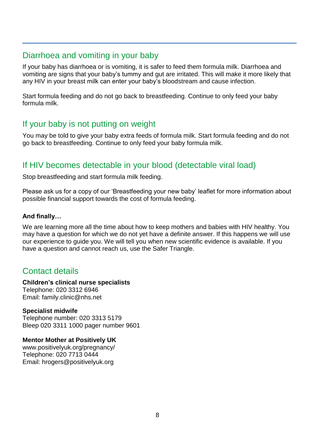### Diarrhoea and vomiting in your baby

If your baby has diarrhoea or is vomiting, it is safer to feed them formula milk. Diarrhoea and vomiting are signs that your baby's tummy and gut are irritated. This will make it more likely that any HIV in your breast milk can enter your baby's bloodstream and cause infection.

Start formula feeding and do not go back to breastfeeding. Continue to only feed your baby formula milk.

### If your baby is not putting on weight

You may be told to give your baby extra feeds of formula milk. Start formula feeding and do not go back to breastfeeding. Continue to only feed your baby formula milk.

### If HIV becomes detectable in your blood (detectable viral load)

Stop breastfeeding and start formula milk feeding.

Please ask us for a copy of our 'Breastfeeding your new baby' leaflet for more information about possible financial support towards the cost of formula feeding.

#### **And finally…**

We are learning more all the time about how to keep mothers and babies with HIV healthy. You may have a question for which we do not yet have a definite answer. If this happens we will use our experience to guide you. We will tell you when new scientific evidence is available. If you have a question and cannot reach us, use the Safer Triangle.

### Contact details

#### **Children's clinical nurse specialists**

Telephone: 020 3312 6946 Email: [family.clinic@nhs.net](mailto:family.clinic@nhs.net)

#### **Specialist midwife**

Telephone number: 020 3313 5179 Bleep 020 3311 1000 pager number 9601

### **Mentor Mother at Positively UK**

www[.positivelyuk.org/pregnancy/](positivelyuk.org/pregnancy/) Telephone: 020 7713 0444 Email: [hrogers@positivelyuk.org](mailto:hrogers@positivelyuk.org)